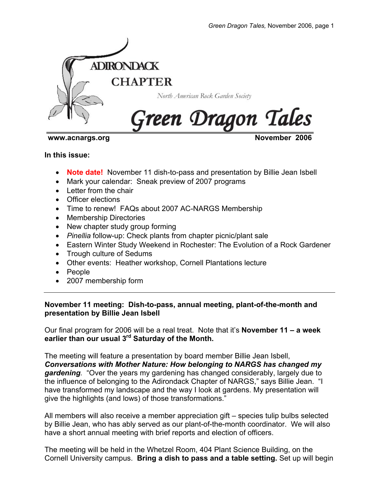

www.acnargs.org November 2006

**In this issue:** 

- **Note date!** November 11 dish-to-pass and presentation by Billie Jean Isbell
- Mark your calendar: Sneak preview of 2007 programs
- Letter from the chair
- Officer elections
- Time to renew! FAQs about 2007 AC-NARGS Membership
- Membership Directories
- New chapter study group forming
- *Pinellia* follow-up: Check plants from chapter picnic/plant sale
- Eastern Winter Study Weekend in Rochester: The Evolution of a Rock Gardener
- Trough culture of Sedums
- Other events: Heather workshop, Cornell Plantations lecture
- People
- 2007 membership form

# **November 11 meeting: Dish-to-pass, annual meeting, plant-of-the-month and presentation by Billie Jean Isbell**

Our final program for 2006 will be a real treat. Note that it's **November 11 – a week**  earlier than our usual 3<sup>rd</sup> Saturday of the Month.

The meeting will feature a presentation by board member Billie Jean Isbell, *Conversations with Mother Nature: How belonging to NARGS has changed my gardening.* "Over the years my gardening has changed considerably, largely due to the influence of belonging to the Adirondack Chapter of NARGS," says Billie Jean. "I have transformed my landscape and the way I look at gardens. My presentation will give the highlights (and lows) of those transformations."

All members will also receive a member appreciation gift – species tulip bulbs selected by Billie Jean, who has ably served as our plant-of-the-month coordinator. We will also have a short annual meeting with brief reports and election of officers.

The meeting will be held in the Whetzel Room, 404 Plant Science Building, on the Cornell University campus. **Bring a dish to pass and a table setting.** Set up will begin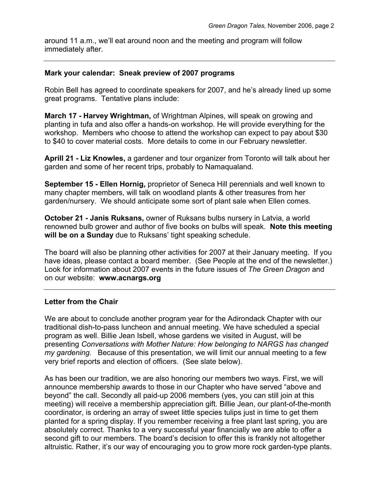around 11 a.m., we'll eat around noon and the meeting and program will follow immediately after.

## **Mark your calendar: Sneak preview of 2007 programs**

Robin Bell has agreed to coordinate speakers for 2007, and he's already lined up some great programs. Tentative plans include:

**March 17 - Harvey Wrightman,** of Wrightman Alpines, will speak on growing and planting in tufa and also offer a hands-on workshop. He will provide everything for the workshop. Members who choose to attend the workshop can expect to pay about \$30 to \$40 to cover material costs. More details to come in our February newsletter.

**Aprill 21 - Liz Knowles,** a gardener and tour organizer from Toronto will talk about her garden and some of her recent trips, probably to Namaqualand.

**September 15 - Ellen Hornig,** proprietor of Seneca Hill perennials and well known to many chapter members, will talk on woodland plants & other treasures from her garden/nursery. We should anticipate some sort of plant sale when Ellen comes.

**October 21 - Janis Ruksans,** owner of Ruksans bulbs nursery in Latvia, a world renowned bulb grower and author of five books on bulbs will speak. **Note this meeting will be on a Sunday** due to Ruksans' tight speaking schedule.

The board will also be planning other activities for 2007 at their January meeting. If you have ideas, please contact a board member. (See People at the end of the newsletter.) Look for information about 2007 events in the future issues of *The Green Dragon* and on our website: **www.acnargs.org** 

## **Letter from the Chair**

We are about to conclude another program year for the Adirondack Chapter with our traditional dish-to-pass luncheon and annual meeting. We have scheduled a special program as well. Billie Jean Isbell, whose gardens we visited in August, will be presenting *Conversations with Mother Nature: How belonging to NARGS has changed my gardening.* Because of this presentation, we will limit our annual meeting to a few very brief reports and election of officers. (See slate below).

As has been our tradition, we are also honoring our members two ways. First, we will announce membership awards to those in our Chapter who have served "above and beyond" the call. Secondly all paid-up 2006 members (yes, you can still join at this meeting) will receive a membership appreciation gift. Billie Jean, our plant-of-the-month coordinator, is ordering an array of sweet little species tulips just in time to get them planted for a spring display. If you remember receiving a free plant last spring, you are absolutely correct. Thanks to a very successful year financially we are able to offer a second gift to our members. The board's decision to offer this is frankly not altogether altruistic. Rather, it's our way of encouraging you to grow more rock garden-type plants.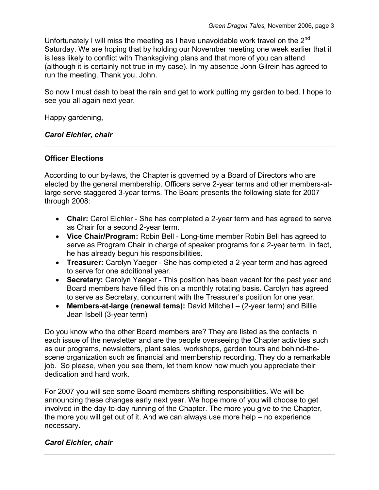Unfortunately I will miss the meeting as I have unavoidable work travel on the 2<sup>nd</sup> Saturday. We are hoping that by holding our November meeting one week earlier that it is less likely to conflict with Thanksgiving plans and that more of you can attend (although it is certainly not true in my case). In my absence John Gilrein has agreed to run the meeting. Thank you, John.

So now I must dash to beat the rain and get to work putting my garden to bed. I hope to see you all again next year.

Happy gardening,

# *Carol Eichler, chair*

# **Officer Elections**

According to our by-laws, the Chapter is governed by a Board of Directors who are elected by the general membership. Officers serve 2-year terms and other members-atlarge serve staggered 3-year terms. The Board presents the following slate for 2007 through 2008:

- **Chair:** Carol Eichler She has completed a 2-year term and has agreed to serve as Chair for a second 2-year term.
- **Vice Chair/Program:** Robin Bell Long-time member Robin Bell has agreed to serve as Program Chair in charge of speaker programs for a 2-year term. In fact, he has already begun his responsibilities.
- **Treasurer:** Carolyn Yaeger She has completed a 2-year term and has agreed to serve for one additional year.
- **Secretary:** Carolyn Yaeger This position has been vacant for the past year and Board members have filled this on a monthly rotating basis. Carolyn has agreed to serve as Secretary, concurrent with the Treasurer's position for one year.
- **Members-at-large (renewal tems):** David Mitchell (2-year term) and Billie Jean Isbell (3-year term)

Do you know who the other Board members are? They are listed as the contacts in each issue of the newsletter and are the people overseeing the Chapter activities such as our programs, newsletters, plant sales, workshops, garden tours and behind-thescene organization such as financial and membership recording. They do a remarkable job. So please, when you see them, let them know how much you appreciate their dedication and hard work.

For 2007 you will see some Board members shifting responsibilities. We will be announcing these changes early next year. We hope more of you will choose to get involved in the day-to-day running of the Chapter. The more you give to the Chapter, the more you will get out of it. And we can always use more help – no experience necessary.

# *Carol Eichler, chair*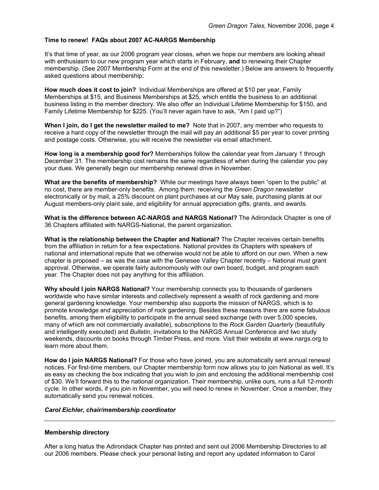### **Time to renew! FAQs about 2007 AC-NARGS Membership**

It's that time of year, as our 2006 program year closes, when we hope our members are looking ahead with enthusiasm to our new program year which starts in February, **and** to renewing their Chapter membership. (See 2007 Membership Form at the end of this newsletter.) Below are answers to frequently asked questions about membership:

**How much does it cost to join?** Individual Memberships are offered at \$10 per year, Family Memberships at \$15, and Business Memberships at \$25, which entitle the business to an additional business listing in the member directory. We also offer an Individual Lifetime Membership for \$150, and Family Lifetime Membership for \$225. (You'll never again have to ask, "Am I paid up?")

**When I join, do I get the newsletter mailed to me?** Note that in 2007, any member who requests to receive a hard copy of the newsletter through the mail will pay an additional \$5 per year to cover printing and postage costs. Otherwise, you will receive the newsletter via email attachment.

**How long is a membership good for?** Memberships follow the calendar year from January 1 through December 31. The membership cost remains the same regardless of when during the calendar you pay your dues. We generally begin our membership renewal drive in November.

**What are the benefits of membership?** While our meetings have always been "open to the public" at no cost, there are member-only benefits. Among them: receiving the *Green Dragon* newsletter electronically or by mail, a 25% discount on plant purchases at our May sale, purchasing plants at our August members-only plant sale, and eligibility for annual appreciation gifts, grants, and awards.

**What is the difference between AC-NARGS and NARGS National?** The Adirondack Chapter is one of 36 Chapters affiliated with NARGS-National, the parent organization.

**What is the relationship between the Chapter and National?** The Chapter receives certain benefits from the affiliation in return for a few expectations. National provides its Chapters with speakers of national and international repute that we otherwise would not be able to afford on our own. When a new chapter is proposed – as was the case with the Genesee Valley Chapter recently – National must grant approval. Otherwise, we operate fairly autonomously with our own board, budget, and program each year. The Chapter does not pay anything for this affiliation.

**Why should I join NARGS National?** Your membership connects you to thousands of gardeners worldwide who have similar interests and collectively represent a wealth of rock gardening and more general gardening knowledge. Your membership also supports the mission of NARGS, which is to promote knowledge and appreciation of rock gardening. Besides these reasons there are some fabulous benefits, among them eligibility to participate in the annual seed exchange (with over 5,000 species, many of which are not commercially available), subscriptions to the *Rock Garden Quarterly* (beautifully and intelligently executed) and *Bulletin*, invitations to the NARGS Annual Conference and two study weekends, discounts on books through Timber Press, and more. Visit their website at www.nargs.org to learn more about them.

**How do I join NARGS National?** For those who have joined, you are automatically sent annual renewal notices. For first-time members, our Chapter membership form now allows you to join National as well. It's as easy as checking the box indicating that you wish to join and enclosing the additional membership cost of \$30. We'll forward this to the national organization. Their membership, unlike ours, runs a full 12-month cycle. In other words, if you join in November, you will need to renew in November. Once a member, they automatically send you renewal notices.

#### *Carol Eichler, chair/membership coordinator*

#### **Membership directory**

After a long hiatus the Adirondack Chapter has printed and sent out 2006 Membership Directories to all our 2006 members. Please check your personal listing and report any updated information to Carol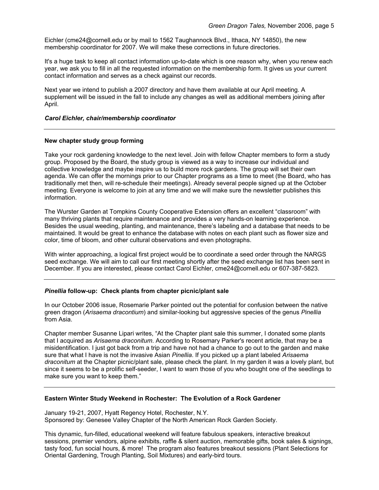Eichler (cme24@cornell.edu or by mail to 1562 Taughannock Blvd., Ithaca, NY 14850), the new membership coordinator for 2007. We will make these corrections in future directories.

It's a huge task to keep all contact information up-to-date which is one reason why, when you renew each year, we ask you to fill in all the requested information on the membership form. It gives us your current contact information and serves as a check against our records.

Next year we intend to publish a 2007 directory and have them available at our April meeting. A supplement will be issued in the fall to include any changes as well as additional members joining after April.

#### *Carol Eichler, chair/membership coordinator*

#### **New chapter study group forming**

Take your rock gardening knowledge to the next level. Join with fellow Chapter members to form a study group. Proposed by the Board, the study group is viewed as a way to increase our individual and collective knowledge and maybe inspire us to build more rock gardens. The group will set their own agenda. We can offer the mornings prior to our Chapter programs as a time to meet (the Board, who has traditionally met then, will re-schedule their meetings). Already several people signed up at the October meeting. Everyone is welcome to join at any time and we will make sure the newsletter publishes this information.

The Wurster Garden at Tompkins County Cooperative Extension offers an excellent "classroom" with many thriving plants that require maintenance and provides a very hands-on learning experience. Besides the usual weeding, planting, and maintenance, there's labeling and a database that needs to be maintained. It would be great to enhance the database with notes on each plant such as flower size and color, time of bloom, and other cultural observations and even photographs.

With winter approaching, a logical first project would be to coordinate a seed order through the NARGS seed exchange. We will aim to call our first meeting shortly after the seed exchange list has been sent in December. If you are interested, please contact Carol Eichler, cme24@cornell.edu or 607-387-5823.

#### *Pinellia* **follow-up: Check plants from chapter picnic/plant sale**

In our October 2006 issue, Rosemarie Parker pointed out the potential for confusion between the native green dragon (*Arisaema dracontium*) and similar-looking but aggressive species of the genus *Pinellia* from Asia.

Chapter member Susanne Lipari writes, "At the Chapter plant sale this summer, I donated some plants that I acquired as *Arisaema draconitum*. According to Rosemary Parker's recent article, that may be a misidentification. I just got back from a trip and have not had a chance to go out to the garden and make sure that what I have is not the invasive Asian *Pinellia*. If you picked up a plant labeled *Arisaema draconitum* at the Chapter picnic/plant sale, please check the plant. In my garden it was a lovely plant, but since it seems to be a prolific self-seeder, I want to warn those of you who bought one of the seedlings to make sure you want to keep them."

#### **Eastern Winter Study Weekend in Rochester: The Evolution of a Rock Gardener**

January 19-21, 2007, Hyatt Regency Hotel, Rochester, N.Y. Sponsored by: Genesee Valley Chapter of the North American Rock Garden Society.

This dynamic, fun-filled, educational weekend will feature fabulous speakers, interactive breakout sessions, premier vendors, alpine exhibits, raffle & silent auction, memorable gifts, book sales & signings, tasty food, fun social hours, & more! The program also features breakout sessions (Plant Selections for Oriental Gardening, Trough Planting, Soil Mixtures) and early-bird tours.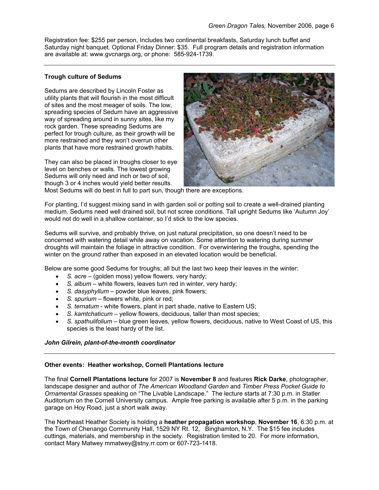Registration fee: \$255 per person, Includes two continental breakfasts, Saturday lunch buffet and Saturday night banquet. Optional Friday Dinner: \$35. Full program details and registration information are available at: www.gvcnargs.org, or phone: 585-924-1739.

## **Trough culture of Sedums**

Sedums are described by Lincoln Foster as utility plants that will flourish in the most difficult of sites and the most meager of soils. The low, spreading species of Sedum have an aggressive way of spreading around in sunny sites, like my rock garden. These spreading Sedums are perfect for trough culture, as their growth will be more restrained and they won't overrun other plants that have more restrained growth habits.

They can also be placed in troughs closer to eye level on benches or walls. The lowest growing Sedums will only need and inch or two of soil, though 3 or 4 inches would yield better results.



Most Sedums will do best in full to part sun, though there are exceptions.

For planting, I'd suggest mixing sand in with garden soil or potting soil to create a well-drained planting medium. Sedums need well drained soil, but not scree conditions. Tall upright Sedums like 'Autumn Joy' would not do well in a shallow container, so I'd stick to the low species.

Sedums will survive, and probably thrive, on just natural precipitation, so one doesn't need to be concerned with watering detail while away on vacation. Some attention to watering during summer droughts will maintain the foliage in attractive condition. For overwintering the troughs, spending the winter on the ground rather than exposed in an elevated location would be beneficial.

Below are some good Sedums for troughs; all but the last two keep their leaves in the winter:

- *S. acre* (golden moss) yellow flowers, very hardy;
- *S. album* white flowers, leaves turn red in winter, very hardy;
- *S. dasyphyllum* powder blue leaves, pink flowers;
- *S. spurium* flowers white, pink or red;
- *S. ternatum* white flowers, plant in part shade, native to Eastern US;
- *S. kamtchaticum* yellow flowers, deciduous, taller than most species;
- *S. spathulifolium* blue green leaves, yellow flowers, deciduous, native to West Coast of US, this species is the least hardy of the list.

#### *John Gilrein, plant-of-the-month coordinator*

#### **Other events: Heather workshop, Cornell Plantations lecture**

The final **Cornell Plantations lecture** for 2007 is **November 8** and features **Rick Darke**, photographer, landscape designer and author of *The American Woodland Garden* and *Timber Press Pocket Guide to Ornamental Grasses* speaking on "The Livable Landscape." The lecture starts at 7:30 p.m. in Statler Auditorium on the Cornell University campus. Ample free parking is available after 5 p.m. in the parking garage on Hoy Road, just a short walk away.

The Northeast Heather Society is holding a **heather propagation workshop**, **November 16**, 6:30 p.m. at the Town of Chenango Community Hall, 1529 NY Rt. 12, Binghamton, N.Y. The \$15 fee includes cuttings, materials, and membership in the society. Registration limited to 20. For more information, contact Mary Matwey mmatwey@stny.rr.com or 607-723-1418.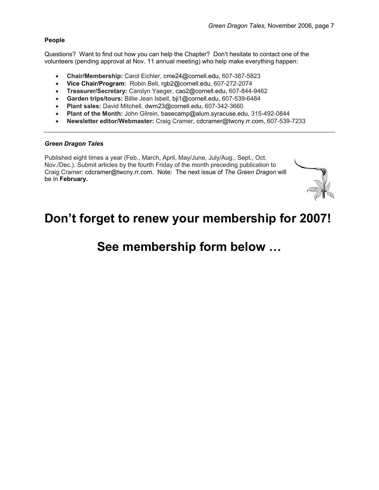## **People**

Questions? Want to find out how you can help the Chapter? Don't hesitate to contact one of the volunteers (pending approval at Nov. 11 annual meeting) who help make everything happen:

- **Chair/Membership:** Carol Eichler, cme24@cornell.edu, 607-387-5823
- **Vice Chair/Program:** Robin Bell, rgb2@cornell.edu, 607-272-2074
- **Treasurer/Secretary:** Carolyn Yaeger, cao2@cornell.edu, 607-844-9462
- **Garden trips/tours:** Billie Jean Isbell, bji1@cornell.edu, 607-539-6484
- **Plant sales:** David Mitchell, dwm23@cornell.edu, 607-342-3660
- **Plant of the Month:** John Gilrein, basecamp@alum.syracuse.edu, 315-492-0844
- **Newsletter editor/Webmaster:** Craig Cramer, cdcramer@twcny.rr.com, 607-539-7233

#### *Green Dragon Tales*

Published eight times a year (Feb., March, April, May/June, July/Aug., Sept., Oct. Nov./Dec.). Submit articles by the fourth Friday of the month preceding publication to Craig Cramer: cdcramer@twcny.rr.com. Note: The next issue of *The Green Dragon* will be in **February.** 



# **Don't forget to renew your membership for 2007!**

**See membership form below …**